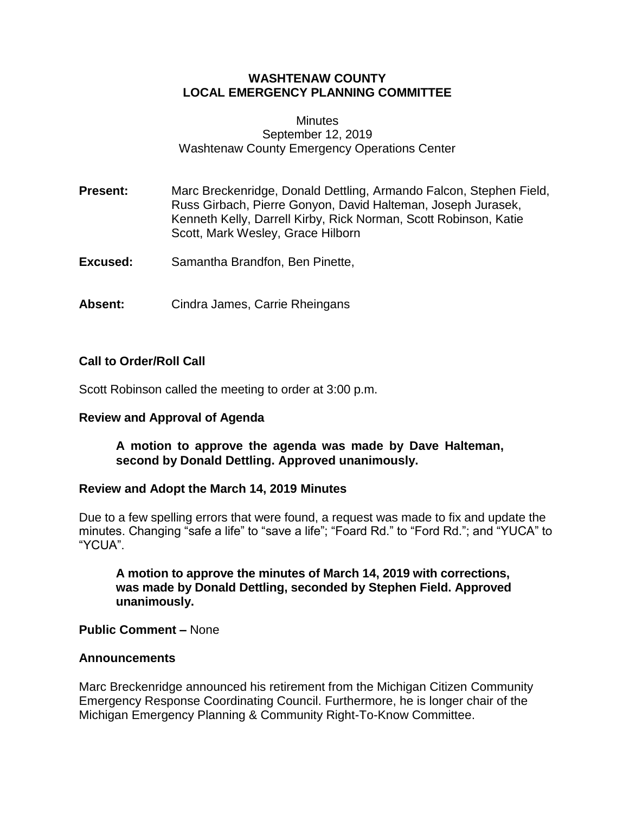## **WASHTENAW COUNTY LOCAL EMERGENCY PLANNING COMMITTEE**

#### **Minutes** September 12, 2019 Washtenaw County Emergency Operations Center

**Present:** Marc Breckenridge, Donald Dettling, Armando Falcon, Stephen Field, Russ Girbach, Pierre Gonyon, David Halteman, Joseph Jurasek, Kenneth Kelly, Darrell Kirby, Rick Norman, Scott Robinson, Katie Scott, Mark Wesley, Grace Hilborn

- **Excused:** Samantha Brandfon, Ben Pinette,
- **Absent:** Cindra James, Carrie Rheingans

### **Call to Order/Roll Call**

Scott Robinson called the meeting to order at 3:00 p.m.

#### **Review and Approval of Agenda**

## **A motion to approve the agenda was made by Dave Halteman, second by Donald Dettling. Approved unanimously.**

#### **Review and Adopt the March 14, 2019 Minutes**

Due to a few spelling errors that were found, a request was made to fix and update the minutes. Changing "safe a life" to "save a life"; "Foard Rd." to "Ford Rd."; and "YUCA" to "YCUA".

**A motion to approve the minutes of March 14, 2019 with corrections, was made by Donald Dettling, seconded by Stephen Field. Approved unanimously.**

**Public Comment –** None

#### **Announcements**

Marc Breckenridge announced his retirement from the Michigan Citizen Community Emergency Response Coordinating Council. Furthermore, he is longer chair of the Michigan Emergency Planning & Community Right-To-Know Committee.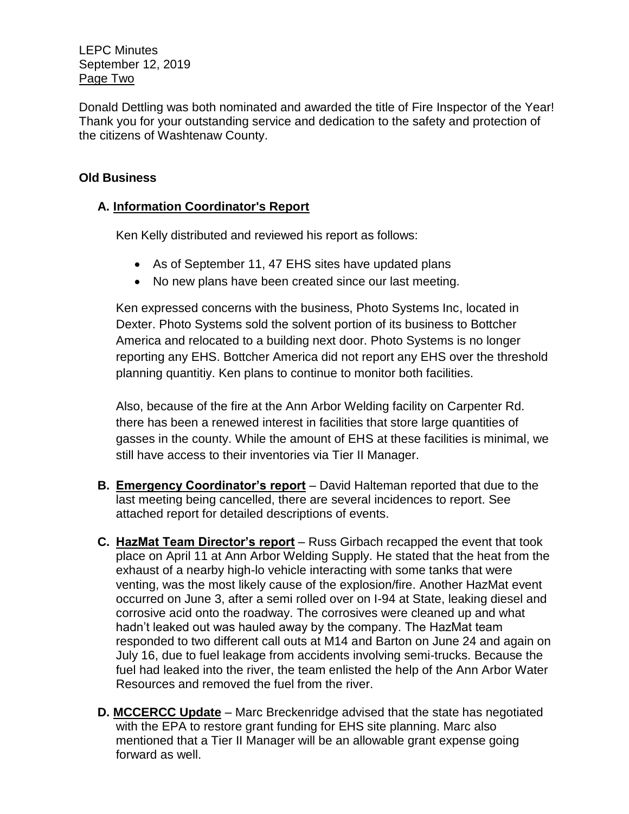## LEPC Minutes September 12, 2019 Page Two

Donald Dettling was both nominated and awarded the title of Fire Inspector of the Year! Thank you for your outstanding service and dedication to the safety and protection of the citizens of Washtenaw County.

# **Old Business**

# **A. Information Coordinator's Report**

Ken Kelly distributed and reviewed his report as follows:

- As of September 11, 47 EHS sites have updated plans
- No new plans have been created since our last meeting.

Ken expressed concerns with the business, Photo Systems Inc, located in Dexter. Photo Systems sold the solvent portion of its business to Bottcher America and relocated to a building next door. Photo Systems is no longer reporting any EHS. Bottcher America did not report any EHS over the threshold planning quantitiy. Ken plans to continue to monitor both facilities.

Also, because of the fire at the Ann Arbor Welding facility on Carpenter Rd. there has been a renewed interest in facilities that store large quantities of gasses in the county. While the amount of EHS at these facilities is minimal, we still have access to their inventories via Tier II Manager.

- **B. Emergency Coordinator's report** David Halteman reported that due to the last meeting being cancelled, there are several incidences to report. See attached report for detailed descriptions of events.
- **C. HazMat Team Director's report** Russ Girbach recapped the event that took place on April 11 at Ann Arbor Welding Supply. He stated that the heat from the exhaust of a nearby high-lo vehicle interacting with some tanks that were venting, was the most likely cause of the explosion/fire. Another HazMat event occurred on June 3, after a semi rolled over on I-94 at State, leaking diesel and corrosive acid onto the roadway. The corrosives were cleaned up and what hadn't leaked out was hauled away by the company. The HazMat team responded to two different call outs at M14 and Barton on June 24 and again on July 16, due to fuel leakage from accidents involving semi-trucks. Because the fuel had leaked into the river, the team enlisted the help of the Ann Arbor Water Resources and removed the fuel from the river.
- **D. MCCERCC Update** Marc Breckenridge advised that the state has negotiated with the EPA to restore grant funding for EHS site planning. Marc also mentioned that a Tier II Manager will be an allowable grant expense going forward as well.